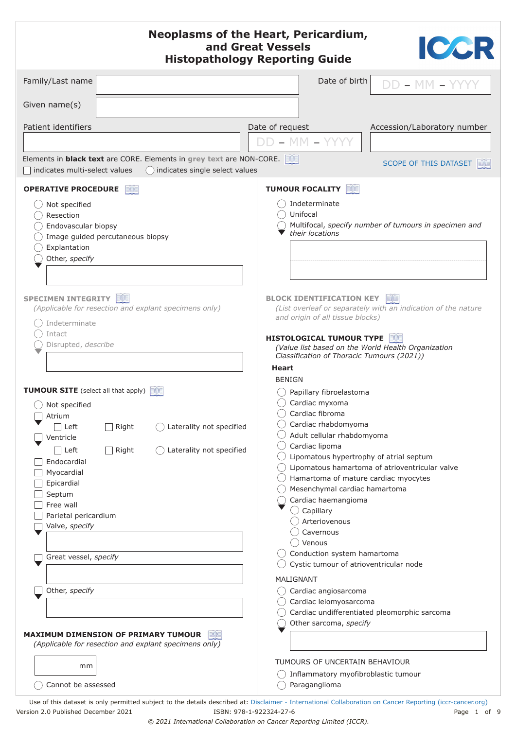| <b>Neoplasms of the Heart, Pericardium,</b><br>ICCR<br>and Great Vessels<br><b>Histopathology Reporting Guide</b>                                                                 |                                                                                                  |  |
|-----------------------------------------------------------------------------------------------------------------------------------------------------------------------------------|--------------------------------------------------------------------------------------------------|--|
| Family/Last name                                                                                                                                                                  | Date of birth<br>$DD - MM$                                                                       |  |
| Given name(s)                                                                                                                                                                     |                                                                                                  |  |
| Patient identifiers<br>Date of request<br>Accession/Laboratory number                                                                                                             |                                                                                                  |  |
| $DD - MM - YYY$                                                                                                                                                                   |                                                                                                  |  |
| Elements in <b>black text</b> are CORE. Elements in grey text are NON-CORE.<br><b>SCOPE OF THIS DATASET</b><br>indicates multi-select values<br>() indicates single select values |                                                                                                  |  |
| <b>OPERATIVE PROCEDURE</b>                                                                                                                                                        | <b>TUMOUR FOCALITY</b>                                                                           |  |
| Not specified                                                                                                                                                                     | ) Indeterminate                                                                                  |  |
| Resection<br>Endovascular biopsy                                                                                                                                                  | Unifocal<br>Multifocal, specify number of tumours in specimen and                                |  |
| Image guided percutaneous biopsy                                                                                                                                                  | their locations                                                                                  |  |
| Explantation<br>Other, specify                                                                                                                                                    |                                                                                                  |  |
|                                                                                                                                                                                   |                                                                                                  |  |
|                                                                                                                                                                                   |                                                                                                  |  |
| SPECIMEN INTEGRITY<br>(Applicable for resection and explant specimens only)                                                                                                       | <b>BLOCK IDENTIFICATION KEY</b><br>(List overleaf or separately with an indication of the nature |  |
| Indeterminate                                                                                                                                                                     | and origin of all tissue blocks)                                                                 |  |
| Intact                                                                                                                                                                            | <b>HISTOLOGICAL TUMOUR TYPE</b>                                                                  |  |
| Disrupted, describe                                                                                                                                                               | (Value list based on the World Health Organization<br>Classification of Thoracic Tumours (2021)) |  |
|                                                                                                                                                                                   | Heart                                                                                            |  |
|                                                                                                                                                                                   | <b>BENIGN</b>                                                                                    |  |
| <b>TUMOUR SITE</b> (select all that apply)                                                                                                                                        | Papillary fibroelastoma<br>Cardiac myxoma                                                        |  |
| Not specified<br>Atrium                                                                                                                                                           | Cardiac fibroma                                                                                  |  |
| Laterality not specified<br>$\Box$ Left<br>Right                                                                                                                                  | Cardiac rhabdomyoma                                                                              |  |
| Ventricle                                                                                                                                                                         | Adult cellular rhabdomyoma<br>Cardiac lipoma                                                     |  |
| Laterality not specified<br>$\Box$ Left<br>Right<br>Endocardial                                                                                                                   | Lipomatous hypertrophy of atrial septum                                                          |  |
| Myocardial                                                                                                                                                                        | Lipomatous hamartoma of atrioventricular valve                                                   |  |
| Epicardial                                                                                                                                                                        | Hamartoma of mature cardiac myocytes<br>Mesenchymal cardiac hamartoma                            |  |
| Septum<br>Free wall                                                                                                                                                               | Cardiac haemangioma                                                                              |  |
| Parietal pericardium                                                                                                                                                              | $\bigcirc$ Capillary                                                                             |  |
| Valve, specify                                                                                                                                                                    | Arteriovenous<br>Cavernous                                                                       |  |
|                                                                                                                                                                                   | ( )Venous                                                                                        |  |
| Great vessel, specify                                                                                                                                                             | Conduction system hamartoma                                                                      |  |
|                                                                                                                                                                                   | Cystic tumour of atrioventricular node<br>MALIGNANT                                              |  |
| Other, specify                                                                                                                                                                    | Cardiac angiosarcoma                                                                             |  |
|                                                                                                                                                                                   | Cardiac leiomyosarcoma                                                                           |  |
|                                                                                                                                                                                   | Cardiac undifferentiated pleomorphic sarcoma<br>Other sarcoma, specify                           |  |
| <b>MAXIMUM DIMENSION OF PRIMARY TUMOUR</b><br>(Applicable for resection and explant specimens only)                                                                               |                                                                                                  |  |
| mm                                                                                                                                                                                | TUMOURS OF UNCERTAIN BEHAVIOUR                                                                   |  |
|                                                                                                                                                                                   | Inflammatory myofibroblastic tumour                                                              |  |
| Cannot be assessed                                                                                                                                                                | Paraganglioma                                                                                    |  |

Use of this dataset is only permitted subject to the details described at: D[isclaimer - International Collaboration on Cancer Reporting \(iccr-cancer.org\)](http://www.iccr-cancer.org/info/disclaimer) Version 2.0 Published December 2021 ISBN: 978-1-922324-27-6 Page 1 of 9

*© 2021 International Collaboration on Cancer Reporting Limited (ICCR).*